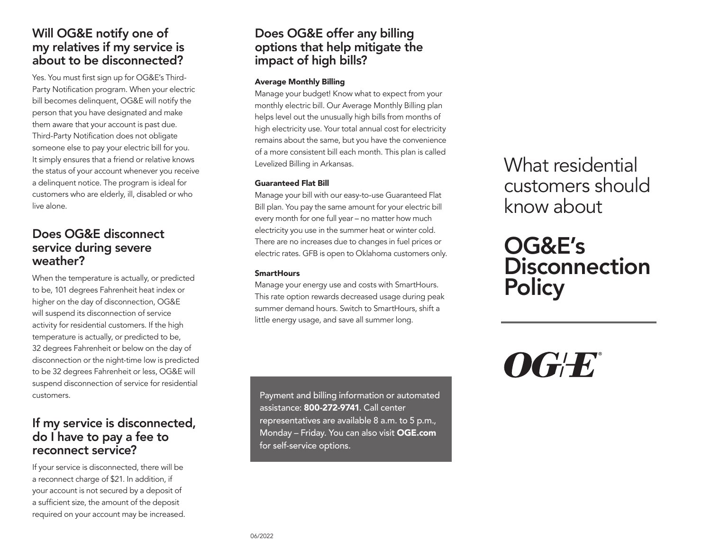## Will OG&E notify one of my relatives if my service is about to be disconnected?

Yes. You must first sign up for OG&E's Third-Party Notification program. When your electric bill becomes delinquent, OG&E will notify the person that you have designated and make them aware that your account is past due. Third-Party Notification does not obligate someone else to pay your electric bill for you. It simply ensures that a friend or relative knows the status of your account whenever you receive a delinquent notice. The program is ideal for customers who are elderly, ill, disabled or who live alone.

### Does OG&E disconnect service during severe weather?

When the temperature is actually, or predicted to be, 101 degrees Fahrenheit heat index or higher on the day of disconnection, OG&E will suspend its disconnection of service activity for residential customers. If the high temperature is actually, or predicted to be, 32 degrees Fahrenheit or below on the day of disconnection or the night-time low is predicted to be 32 degrees Fahrenheit or less, OG&E will suspend disconnection of service for residential customers.

### If my service is disconnected, do I have to pay a fee to reconnect service?

If your service is disconnected, there will be a reconnect charge of \$21. In addition, if your account is not secured by a deposit of a sufficient size, the amount of the deposit required on your account may be increased.

# Does OG&E offer any billing options that help mitigate the impact of high bills?

### Average Monthly Billing

Manage your budget! Know what to expect from your monthly electric bill. Our Average Monthly Billing plan helps level out the unusually high bills from months of high electricity use. Your total annual cost for electricity remains about the same, but you have the convenience of a more consistent bill each month. This plan is called Levelized Billing in Arkansas.

### Guaranteed Flat Bill

Manage your bill with our easy-to-use Guaranteed Flat Bill plan. You pay the same amount for your electric bill every month for one full year – no matter how much electricity you use in the summer heat or winter cold. There are no increases due to changes in fuel prices or electric rates. GFB is open to Oklahoma customers only.

### **SmartHours**

Manage your energy use and costs with SmartHours. This rate option rewards decreased usage during peak summer demand hours. Switch to SmartHours, shift a little energy usage, and save all summer long.

Payment and billing information or automated assistance: 800-272-9741. Call center representatives are available 8 a.m. to 5 p.m., Monday – Friday. You can also visit OGE.com for self-service options.

What residential customers should know about

# OG&E's **Disconnection Policy**

# $\boldsymbol{O}$ G $\boldsymbol{E}$